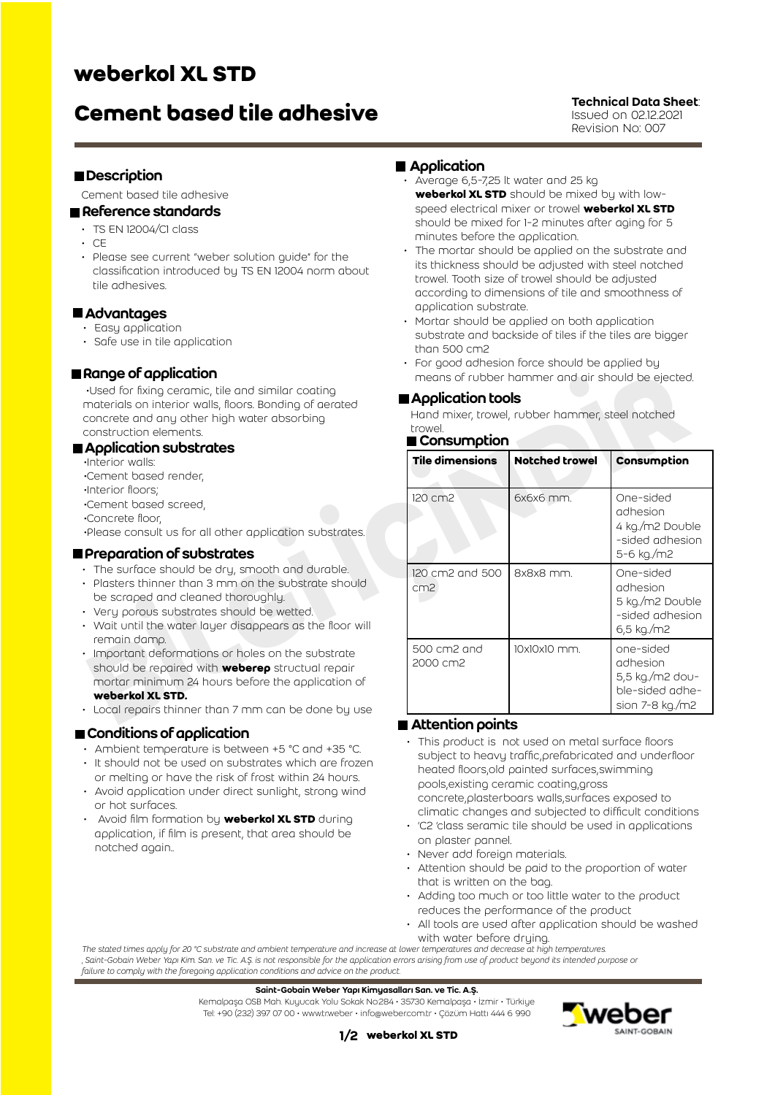## **weberkol XL STD**

# **Cement based tile adhesive** Technical Data Sheet:

Issued on 02.12.2021 Revision No: 007

#### **Description**

Cement based tile adhesive

#### Reference standards

- TS EN 12004/C1 class
- $\cdot$  CE
- Please see current "weber solution guide" for the classification introduced by TS EN 12004 norm about tile adhesives.

#### ■ Advantages

- Easy application
- Safe use in tile application

### Range of application

#### **Application substrates**

- •Interior walls:
- •Cement based render,
- •Interior floors;

- •Concrete floor,
- •Please consult us for all other application substrates.

#### **Preparation of substrates**

- The surface should be dry, smooth and durable.
- Plasters thinner than 3 mm on the substrate should be scraped and cleaned thoroughly.
- Very porous substrates should be wetted.
- Wait until the water layer disappears as the floor will remain damp.
- Important deformations or holes on the substrate should be repaired with **weberep** structual repair mortar minimum 24 hours before the application of **weberkol XL STD.**
- Local repairs thinner than 7 mm can be done by use

#### **■ Conditions of application**

- Ambient temperature is between +5 °C and +35 °C.
- It should not be used on substrates which are frozen or melting or have the risk of frost within 24 hours.
- Avoid application under direct sunlight, strong wind or hot surfaces.
- Avoid film formation by **weberkol XL STD** during application, if film is present, that area should be notched again..

#### **Application**

- Average 6,5-7,25 lt water and 25 kg **weberkol XL STD** should be mixed by with lowspeed electrical mixer or trowel **weberkol XL STD** should be mixed for 1-2 minutes after aging for 5 minutes before the application.
- The mortar should be applied on the substrate and its thickness should be adjusted with steel notched trowel. Tooth size of trowel should be adjusted according to dimensions of tile and smoothness of application substrate.
- Mortar should be applied on both application substrate and backside of tiles if the tiles are bigger than 500 cm2
- For good adhesion force should be applied by means of rubber hammer and air should be ejected.

#### **■ Application tools**

#### ■ Consumption

| Range of application<br>·Used for fixing ceramic, tile and similar coating<br>materials on interior walls, floors. Bonding of aerated<br>concrete and any other high water absorbing<br>construction elements.<br><b>Application substrates</b><br>Interior walls:<br>Cement based render,<br>Interior floors;<br>Cement based screed,<br>Concrete floor,<br>Please consult us for all other application substrates.<br>Preparation of substrates<br>The surface should be dry, smooth and durable.<br>Plasters thinner than 3 mm on the substrate should<br>be scraped and cleaned thoroughly.<br>Very porous substrates should be wetted.<br>Wait until the water layer disappears as the floor will<br>remain damp.<br>Important deformations or holes on the substrate<br>should be repaired with <b>weberep</b> structual repair<br>mortar minimum 24 hours before the application of<br>weberkol XL STD. | means of rubber hammer and air should be ejected.                                                 |                       |                                                                                         |  |
|----------------------------------------------------------------------------------------------------------------------------------------------------------------------------------------------------------------------------------------------------------------------------------------------------------------------------------------------------------------------------------------------------------------------------------------------------------------------------------------------------------------------------------------------------------------------------------------------------------------------------------------------------------------------------------------------------------------------------------------------------------------------------------------------------------------------------------------------------------------------------------------------------------------|---------------------------------------------------------------------------------------------------|-----------------------|-----------------------------------------------------------------------------------------|--|
|                                                                                                                                                                                                                                                                                                                                                                                                                                                                                                                                                                                                                                                                                                                                                                                                                                                                                                                | Application tools<br>Hand mixer, trowel, rubber hammer, steel notched<br>trowel.<br>■ Consumption |                       |                                                                                         |  |
|                                                                                                                                                                                                                                                                                                                                                                                                                                                                                                                                                                                                                                                                                                                                                                                                                                                                                                                | <b>Tile dimensions</b>                                                                            | <b>Notched trowel</b> | Consumption                                                                             |  |
|                                                                                                                                                                                                                                                                                                                                                                                                                                                                                                                                                                                                                                                                                                                                                                                                                                                                                                                | 120 cm2                                                                                           | 6x6x6 mm.             | One-sided<br>adhesion<br>4 kg./m2 Double<br>-sided adhesion                             |  |
|                                                                                                                                                                                                                                                                                                                                                                                                                                                                                                                                                                                                                                                                                                                                                                                                                                                                                                                | 120 cm2 and 500<br>cm <sub>2</sub>                                                                | 8x8x8 mm.             | 5-6 kg./m2<br>One-sided<br>adhesion<br>5 kg./m2 Double<br>-sided adhesion<br>6,5 kg./m2 |  |
|                                                                                                                                                                                                                                                                                                                                                                                                                                                                                                                                                                                                                                                                                                                                                                                                                                                                                                                | 500 cm2 and<br>2000 cm2                                                                           | 10x10x10 mm.          | one-sided<br>adhesion<br>5,5 kg./m2 dou-<br>ble-sided adhe-<br>sion 7-8 kg./m2          |  |
| Local repairs thinner than 7 mm can be done by use                                                                                                                                                                                                                                                                                                                                                                                                                                                                                                                                                                                                                                                                                                                                                                                                                                                             | Attention opinte                                                                                  |                       |                                                                                         |  |

#### Attention points

- This product is not used on metal surface floors subject to heavy traffic,prefabricated and underfloor heated floors,old painted surfaces,swimming pools,existing ceramic coating,gross concrete,plasterboars walls,surfaces exposed to climatic changes and subjected to difficult conditions
- 'C2 'class seramic tile should be used in applications on plaster pannel.
- Never add foreign materials.
- Attention should be paid to the proportion of water that is written on the bag.
- Adding too much or too little water to the product reduces the performance of the product
- All tools are used after application should be washed with water before druing.

*The stated times apply for 20 °C substrate and ambient temperature and increase at lower temperatures and decrease at high temperatures. ' Saint-Gobain Weber Yapı Kim. San. ve Tic. A.Ş. is not responsible for the application errors arising from use of product beyond its intended purpose or failure to comply with the foregoing application conditions and advice on the product.*

Saint-Gobain Weber Yapı Kimyasalları San. ve Tic. A.Ş.

Kemalpaşa OSB Mah. Kuyucak Yolu Sokak No:284 • 35730 Kemalpaşa • İzmir • Türkiye Tel: +90 (232) 397 07 00 • www.tr.weber • info@weber.com.tr • Çözüm Hattı 444 6 990